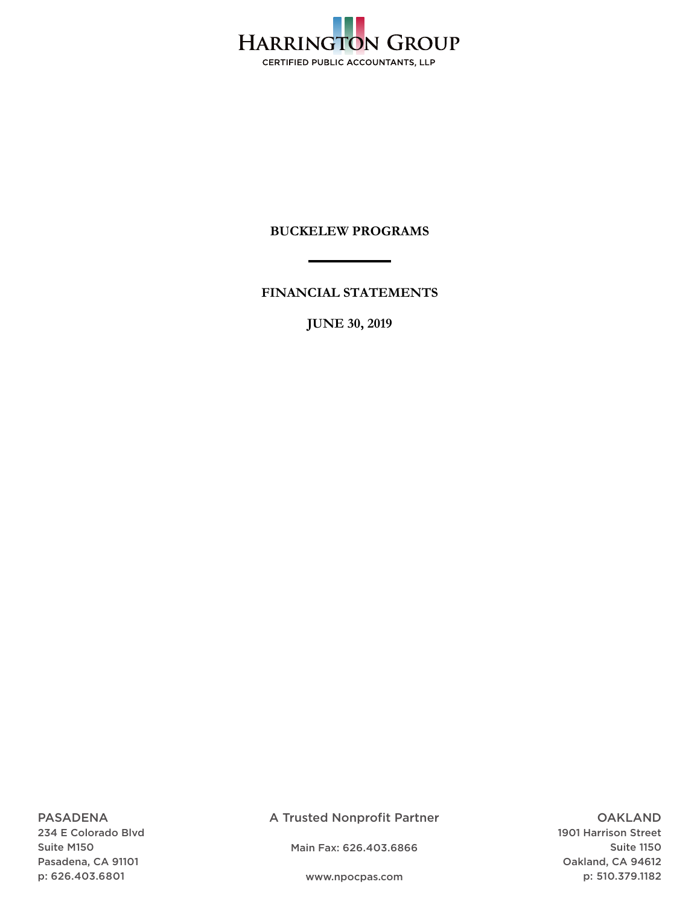

**FINANCIAL STATEMENTS** 

**JUNE 30, 2019** 

PASADENA 234 E Colorado Blvd Suite M150 Pasadena, CA 91101 p: 626.403.6801

A Trusted Nonprofit Partner

Main Fax: 626.403.6866

OAKLAND 1901 Harrison Street Suite 1150 Oakland, CA 94612 p: 510.379.1182

www.npocpas.com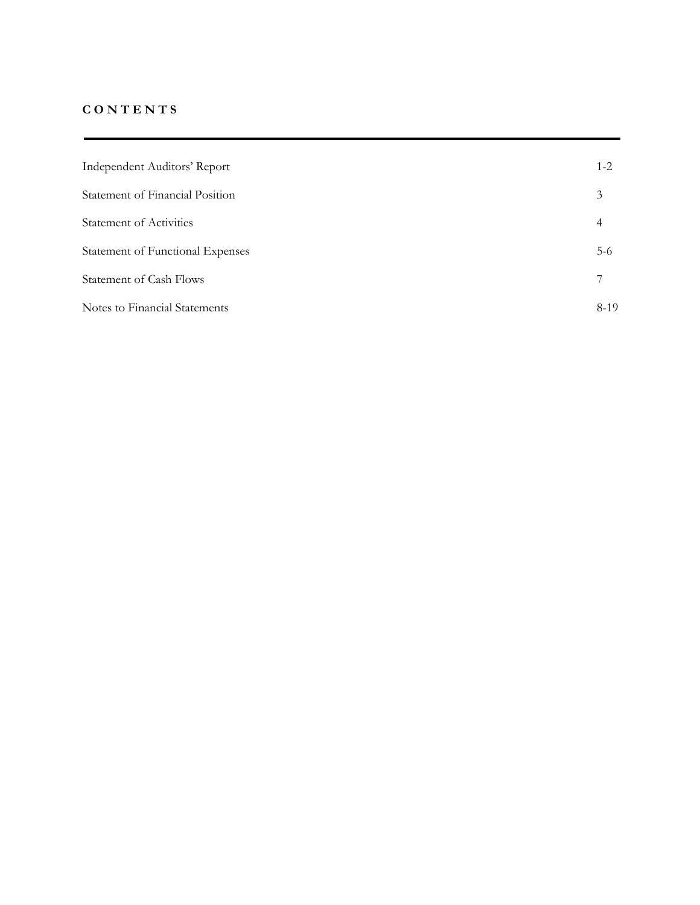# **C O N T E N T S**

| Independent Auditors' Report     | $1 - 2$ |
|----------------------------------|---------|
| Statement of Financial Position  | 3       |
| <b>Statement of Activities</b>   | 4       |
| Statement of Functional Expenses | $5-6$   |
| <b>Statement of Cash Flows</b>   | 7       |
| Notes to Financial Statements    | $8-19$  |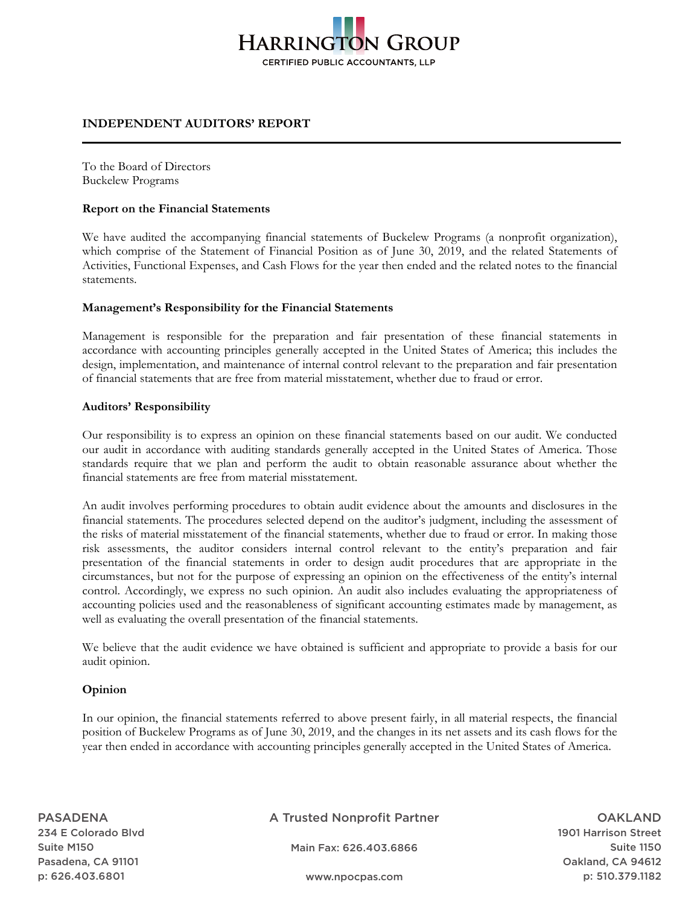# **HARRINGTON GROUP CERTIFIED PUBLIC ACCOUNTANTS, LLP**

## **INDEPENDENT AUDITORS' REPORT**

To the Board of Directors Buckelew Programs

## **Report on the Financial Statements**

We have audited the accompanying financial statements of Buckelew Programs (a nonprofit organization), which comprise of the Statement of Financial Position as of June 30, 2019, and the related Statements of Activities, Functional Expenses, and Cash Flows for the year then ended and the related notes to the financial statements.

## **Management's Responsibility for the Financial Statements**

Management is responsible for the preparation and fair presentation of these financial statements in accordance with accounting principles generally accepted in the United States of America; this includes the design, implementation, and maintenance of internal control relevant to the preparation and fair presentation of financial statements that are free from material misstatement, whether due to fraud or error.

## **Auditors' Responsibility**

Our responsibility is to express an opinion on these financial statements based on our audit. We conducted our audit in accordance with auditing standards generally accepted in the United States of America. Those standards require that we plan and perform the audit to obtain reasonable assurance about whether the financial statements are free from material misstatement.

An audit involves performing procedures to obtain audit evidence about the amounts and disclosures in the financial statements. The procedures selected depend on the auditor's judgment, including the assessment of the risks of material misstatement of the financial statements, whether due to fraud or error. In making those risk assessments, the auditor considers internal control relevant to the entity's preparation and fair presentation of the financial statements in order to design audit procedures that are appropriate in the circumstances, but not for the purpose of expressing an opinion on the effectiveness of the entity's internal control. Accordingly, we express no such opinion. An audit also includes evaluating the appropriateness of accounting policies used and the reasonableness of significant accounting estimates made by management, as well as evaluating the overall presentation of the financial statements.

We believe that the audit evidence we have obtained is sufficient and appropriate to provide a basis for our audit opinion.

## **Opinion**

In our opinion, the financial statements referred to above present fairly, in all material respects, the financial position of Buckelew Programs as of June 30, 2019, and the changes in its net assets and its cash flows for the year then ended in accordance with accounting principles generally accepted in the United States of America.

PASADENA 234 E Colorado Blvd Suite M150 Pasadena, CA 91101 p: 626.403.6801

A Trusted Nonprofit Partner

Main Fax: 626.403.6866

OAKLAND 1901 Harrison Street Suite 1150 Oakland, CA 94612 p: 510.379.1182

www.npocpas.com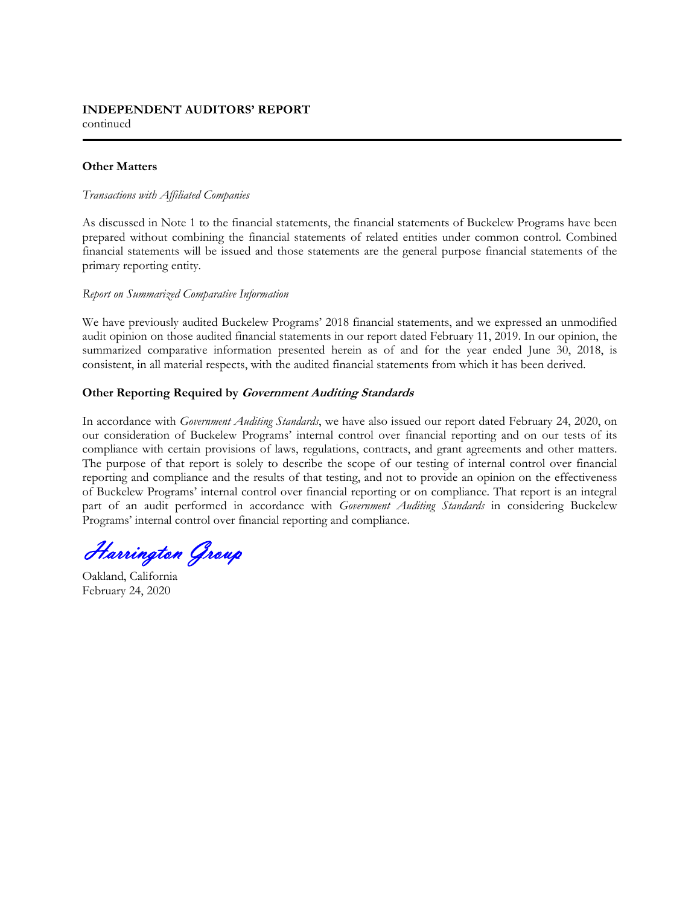## **Other Matters**

#### *Transactions with Affiliated Companies*

As discussed in Note 1 to the financial statements, the financial statements of Buckelew Programs have been prepared without combining the financial statements of related entities under common control. Combined financial statements will be issued and those statements are the general purpose financial statements of the primary reporting entity.

#### *Report on Summarized Comparative Information*

We have previously audited Buckelew Programs' 2018 financial statements, and we expressed an unmodified audit opinion on those audited financial statements in our report dated February 11, 2019. In our opinion, the summarized comparative information presented herein as of and for the year ended June 30, 2018, is consistent, in all material respects, with the audited financial statements from which it has been derived.

## **Other Reporting Required by Government Auditing Standards**

In accordance with *Government Auditing Standards*, we have also issued our report dated February 24, 2020, on our consideration of Buckelew Programs' internal control over financial reporting and on our tests of its compliance with certain provisions of laws, regulations, contracts, and grant agreements and other matters. The purpose of that report is solely to describe the scope of our testing of internal control over financial reporting and compliance and the results of that testing, and not to provide an opinion on the effectiveness of Buckelew Programs' internal control over financial reporting or on compliance. That report is an integral part of an audit performed in accordance with *Government Auditing Standards* in considering Buckelew Programs' internal control over financial reporting and compliance.

Harrington Group

Oakland, California February 24, 2020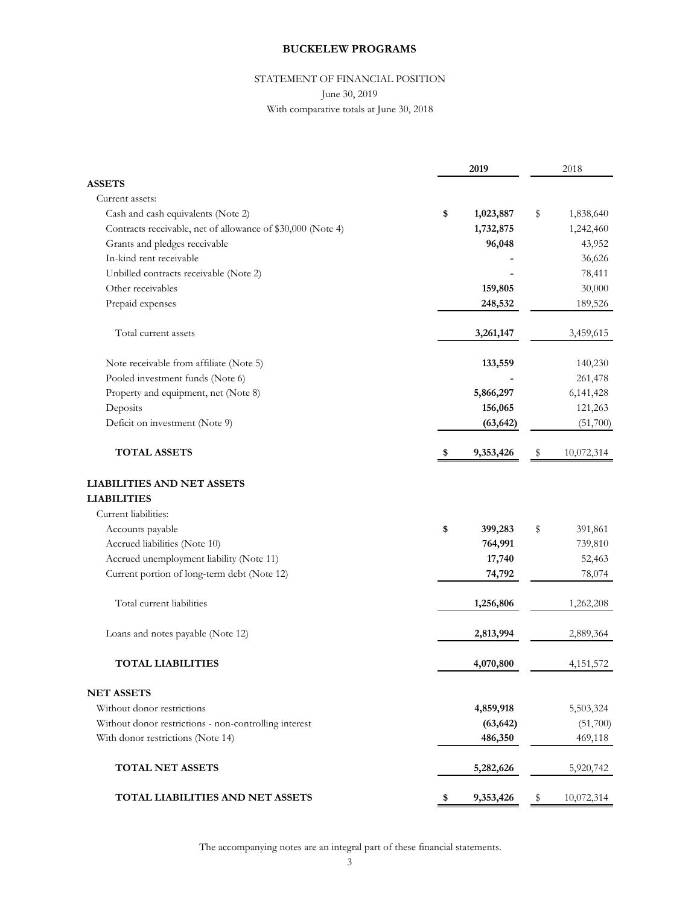## STATEMENT OF FINANCIAL POSITION

#### June 30, 2019

With comparative totals at June 30, 2018

|                                                             |    | 2019      | 2018             |
|-------------------------------------------------------------|----|-----------|------------------|
| <b>ASSETS</b>                                               |    |           |                  |
| Current assets:                                             |    |           |                  |
| Cash and cash equivalents (Note 2)                          | \$ | 1,023,887 | \$<br>1,838,640  |
| Contracts receivable, net of allowance of \$30,000 (Note 4) |    | 1,732,875 | 1,242,460        |
| Grants and pledges receivable                               |    | 96,048    | 43,952           |
| In-kind rent receivable                                     |    |           | 36,626           |
| Unbilled contracts receivable (Note 2)                      |    |           | 78,411           |
| Other receivables                                           |    | 159,805   | 30,000           |
| Prepaid expenses                                            |    | 248,532   | 189,526          |
| Total current assets                                        |    | 3,261,147 | 3,459,615        |
| Note receivable from affiliate (Note 5)                     |    | 133,559   | 140,230          |
| Pooled investment funds (Note 6)                            |    |           | 261,478          |
| Property and equipment, net (Note 8)                        |    | 5,866,297 | 6, 141, 428      |
| Deposits                                                    |    | 156,065   | 121,263          |
| Deficit on investment (Note 9)                              |    | (63, 642) | (51,700)         |
| <b>TOTAL ASSETS</b>                                         | S, | 9,353,426 | \$<br>10,072,314 |
| <b>LIABILITIES AND NET ASSETS</b>                           |    |           |                  |
| <b>LIABILITIES</b>                                          |    |           |                  |
| Current liabilities:                                        |    |           |                  |
| Accounts payable                                            | \$ | 399,283   | \$<br>391,861    |
| Accrued liabilities (Note 10)                               |    | 764,991   | 739,810          |
| Accrued unemployment liability (Note 11)                    |    | 17,740    | 52,463           |
| Current portion of long-term debt (Note 12)                 |    | 74,792    | 78,074           |
| Total current liabilities                                   |    | 1,256,806 | 1,262,208        |
| Loans and notes payable (Note 12)                           |    | 2,813,994 | 2,889,364        |
| <b>TOTAL LIABILITIES</b>                                    |    | 4,070,800 | 4, 151, 572      |
| <b>NET ASSETS</b>                                           |    |           |                  |
| Without donor restrictions                                  |    | 4,859,918 | 5,503,324        |
| Without donor restrictions - non-controlling interest       |    | (63, 642) | (51,700)         |
| With donor restrictions (Note 14)                           |    | 486,350   | 469,118          |
| <b>TOTAL NET ASSETS</b>                                     |    | 5,282,626 | 5,920,742        |
| <b>TOTAL LIABILITIES AND NET ASSETS</b>                     | \$ | 9,353,426 | \$<br>10,072,314 |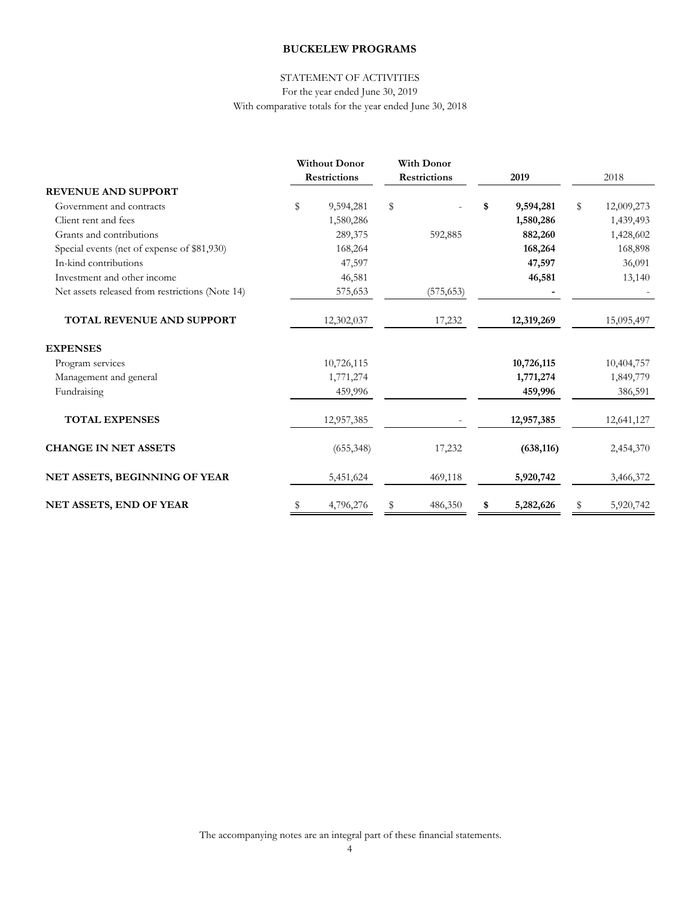# STATEMENT OF ACTIVITIES

For the year ended June 30, 2019 With comparative totals for the year ended June 30, 2018

|                                                 | <b>Without Donor</b> |                     | <b>With Donor</b> |      |            |                  |
|-------------------------------------------------|----------------------|---------------------|-------------------|------|------------|------------------|
|                                                 | <b>Restrictions</b>  | <b>Restrictions</b> |                   | 2019 |            | 2018             |
| <b>REVENUE AND SUPPORT</b>                      |                      |                     |                   |      |            |                  |
| Government and contracts                        | \$<br>9,594,281      | \$                  |                   | \$   | 9,594,281  | \$<br>12,009,273 |
| Client rent and fees                            | 1,580,286            |                     |                   |      | 1,580,286  | 1,439,493        |
| Grants and contributions                        | 289,375              |                     | 592,885           |      | 882,260    | 1,428,602        |
| Special events (net of expense of \$81,930)     | 168,264              |                     |                   |      | 168,264    | 168,898          |
| In-kind contributions                           | 47,597               |                     |                   |      | 47,597     | 36,091           |
| Investment and other income                     | 46,581               |                     |                   |      | 46,581     | 13,140           |
| Net assets released from restrictions (Note 14) | 575,653              |                     | (575, 653)        |      |            |                  |
| TOTAL REVENUE AND SUPPORT                       | 12,302,037           |                     | 17,232            |      | 12,319,269 | 15,095,497       |
| <b>EXPENSES</b>                                 |                      |                     |                   |      |            |                  |
| Program services                                | 10,726,115           |                     |                   |      | 10,726,115 | 10,404,757       |
| Management and general                          | 1,771,274            |                     |                   |      | 1,771,274  | 1,849,779        |
| Fundraising                                     | 459,996              |                     |                   |      | 459,996    | 386,591          |
| <b>TOTAL EXPENSES</b>                           | 12,957,385           |                     |                   |      | 12,957,385 | 12,641,127       |
| <b>CHANGE IN NET ASSETS</b>                     | (655,348)            |                     | 17,232            |      | (638, 116) | 2,454,370        |
| NET ASSETS, BEGINNING OF YEAR                   | 5,451,624            |                     | 469,118           |      | 5,920,742  | 3,466,372        |
| NET ASSETS, END OF YEAR                         | \$<br>4,796,276      | \$                  | 486,350           | \$   | 5,282,626  | \$<br>5,920,742  |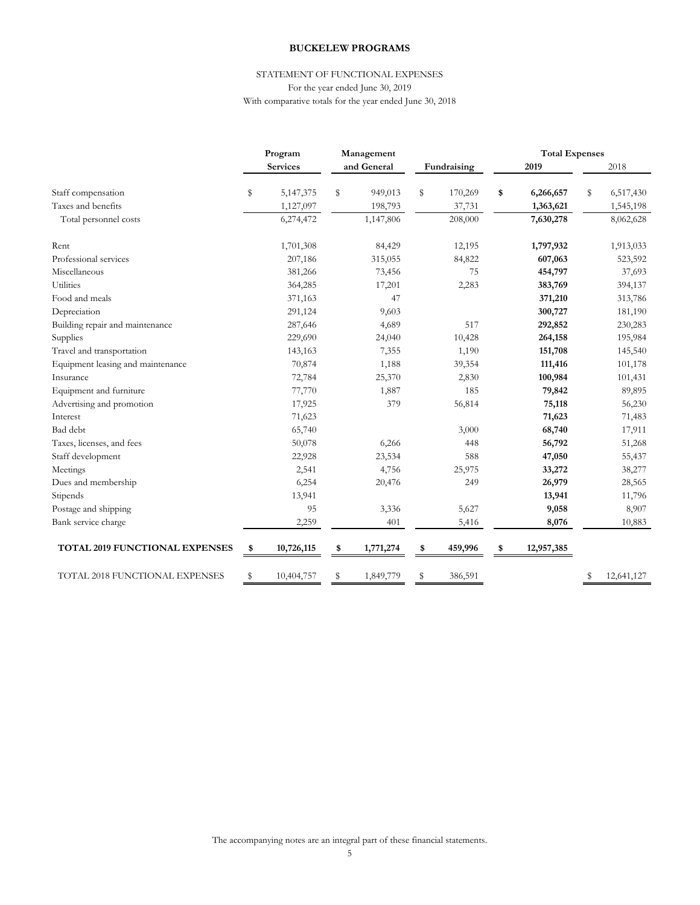#### With comparative totals for the year ended June 30, 2018 STATEMENT OF FUNCTIONAL EXPENSES For the year ended June 30, 2019

|                                       |    | Program         |    | Management  | <b>Total Expenses</b> |             |                  |    |            |
|---------------------------------------|----|-----------------|----|-------------|-----------------------|-------------|------------------|----|------------|
|                                       |    | <b>Services</b> |    | and General |                       | Fundraising | 2019             |    | 2018       |
| Staff compensation                    | S  | 5,147,375       | S  | 949,013     | \$                    | 170,269     | \$<br>6,266,657  | \$ | 6,517,430  |
| Taxes and benefits                    |    | 1,127,097       |    | 198,793     |                       | 37,731      | 1,363,621        |    | 1,545,198  |
| Total personnel costs                 |    | 6,274,472       |    | 1,147,806   |                       | 208,000     | 7,630,278        |    | 8,062,628  |
| Rent                                  |    | 1,701,308       |    | 84,429      |                       | 12,195      | 1,797,932        |    | 1,913,033  |
| Professional services                 |    | 207,186         |    | 315,055     |                       | 84,822      | 607,063          |    | 523,592    |
| Miscellaneous                         |    | 381,266         |    | 73,456      |                       | 75          | 454,797          |    | 37,693     |
| Utilities                             |    | 364,285         |    | 17,201      |                       | 2,283       | 383,769          |    | 394,137    |
| Food and meals                        |    | 371,163         |    | 47          |                       |             | 371,210          |    | 313,786    |
| Depreciation                          |    | 291,124         |    | 9,603       |                       |             | 300,727          |    | 181,190    |
| Building repair and maintenance       |    | 287,646         |    | 4,689       |                       | 517         | 292,852          |    | 230,283    |
| Supplies                              |    | 229,690         |    | 24,040      |                       | 10,428      | 264,158          |    | 195,984    |
| Travel and transportation             |    | 143,163         |    | 7,355       |                       | 1,190       | 151,708          |    | 145,540    |
| Equipment leasing and maintenance     |    | 70,874          |    | 1,188       |                       | 39,354      | 111,416          |    | 101,178    |
| Insurance                             |    | 72,784          |    | 25,370      |                       | 2,830       | 100,984          |    | 101,431    |
| Equipment and furniture               |    | 77,770          |    | 1,887       |                       | 185         | 79,842           |    | 89,895     |
| Advertising and promotion             |    | 17,925          |    | 379         |                       | 56,814      | 75,118           |    | 56,230     |
| Interest                              |    | 71,623          |    |             |                       |             | 71,623           |    | 71,483     |
| Bad debt                              |    | 65,740          |    |             |                       | 3,000       | 68,740           |    | 17,911     |
| Taxes, licenses, and fees             |    | 50,078          |    | 6,266       |                       | 448         | 56,792           |    | 51,268     |
| Staff development                     |    | 22,928          |    | 23,534      |                       | 588         | 47,050           |    | 55,437     |
| Meetings                              |    | 2,541           |    | 4,756       |                       | 25,975      | 33,272           |    | 38,277     |
| Dues and membership                   |    | 6,254           |    | 20,476      |                       | 249         | 26,979           |    | 28,565     |
| Stipends                              |    | 13,941          |    |             |                       |             | 13,941           |    | 11,796     |
| Postage and shipping                  |    | 95              |    | 3,336       |                       | 5,627       | 9,058            |    | 8,907      |
| Bank service charge                   |    | 2,259           |    | 401         |                       | 5,416       | 8,076            |    | 10,883     |
| <b>TOTAL 2019 FUNCTIONAL EXPENSES</b> | \$ | 10,726,115      | \$ | 1,771,274   | \$                    | 459,996     | \$<br>12,957,385 |    |            |
| TOTAL 2018 FUNCTIONAL EXPENSES        | S  | 10,404,757      | S  | 1,849,779   | \$                    | 386,591     |                  | \$ | 12,641,127 |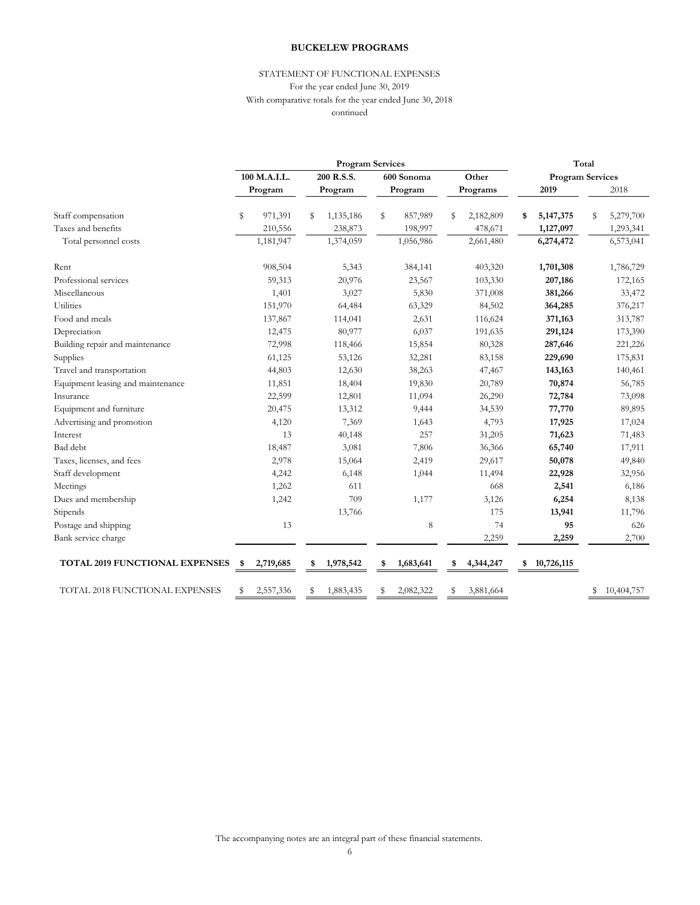#### For the year ended June 30, 2019 With comparative totals for the year ended June 30, 2018 STATEMENT OF FUNCTIONAL EXPENSES continued

|                                       |                      | <b>Program Services</b> | Total                |                      |                         |                        |
|---------------------------------------|----------------------|-------------------------|----------------------|----------------------|-------------------------|------------------------|
|                                       | 100 M.A.I.L.         | 200 R.S.S.              | 600 Sonoma           | Other                | <b>Program Services</b> |                        |
|                                       | Program              | Program                 | Program              | Programs             | 2019                    | 2018                   |
| Staff compensation                    | \$<br>971,391        | 1,135,186<br>s          | \$<br>857,989        | 2,182,809<br>s       | 5, 147, 375<br>\$       | 5,279,700<br>\$        |
| Taxes and benefits                    | 210,556<br>1,181,947 | 238,873<br>1,374,059    | 198,997<br>1,056,986 | 478,671<br>2,661,480 | 1,127,097<br>6,274,472  | 1,293,341<br>6,573,041 |
| Total personnel costs                 |                      |                         |                      |                      |                         |                        |
| Rent                                  | 908,504              | 5,343                   | 384,141              | 403,320              | 1,701,308               | 1,786,729              |
| Professional services                 | 59,313               | 20,976                  | 23,567               | 103,330              | 207,186                 | 172,165                |
| Miscellaneous                         | 1,401                | 3,027                   | 5,830                | 371,008              | 381,266                 | 33,472                 |
| Utilities                             | 151,970              | 64,484                  | 63,329               | 84,502               | 364,285                 | 376,217                |
| Food and meals                        | 137,867              | 114,041                 | 2,631                | 116,624              | 371,163                 | 313,787                |
| Depreciation                          | 12,475               | 80,977                  | 6,037                | 191,635              | 291,124                 | 173,390                |
| Building repair and maintenance       | 72,998               | 118,466                 | 15,854               | 80,328               | 287,646                 | 221,226                |
| Supplies                              | 61,125               | 53,126                  | 32,281               | 83,158               | 229,690                 | 175,831                |
| Travel and transportation             | 44,803               | 12,630                  | 38,263               | 47,467               | 143,163                 | 140,461                |
| Equipment leasing and maintenance     | 11,851               | 18,404                  | 19,830               | 20,789               | 70,874                  | 56,785                 |
| Insurance                             | 22,599               | 12,801                  | 11,094               | 26,290               | 72,784                  | 73,098                 |
| Equipment and furniture               | 20,475               | 13,312                  | 9,444                | 34,539               | 77,770                  | 89,895                 |
| Advertising and promotion             | 4,120                | 7,369                   | 1,643                | 4,793                | 17,925                  | 17,024                 |
| Interest                              | 13                   | 40,148                  | 257                  | 31,205               | 71,623                  | 71,483                 |
| Bad debt                              | 18,487               | 3,081                   | 7,806                | 36,366               | 65,740                  | 17,911                 |
| Taxes, licenses, and fees             | 2,978                | 15,064                  | 2,419                | 29,617               | 50,078                  | 49,840                 |
| Staff development                     | 4,242                | 6,148                   | 1,044                | 11,494               | 22,928                  | 32,956                 |
| Meetings                              | 1,262                | 611                     |                      | 668                  | 2,541                   | 6,186                  |
| Dues and membership                   | 1,242                | 709                     | 1,177                | 3,126                | 6,254                   | 8,138                  |
| Stipends                              |                      | 13,766                  |                      | 175                  | 13,941                  | 11,796                 |
| Postage and shipping                  | 13                   |                         | 8                    | 74                   | 95                      | 626                    |
| Bank service charge                   |                      |                         |                      | 2,259                | 2,259                   | 2,700                  |
| <b>TOTAL 2019 FUNCTIONAL EXPENSES</b> | 2,719,685<br>\$      | 1,978,542<br>\$         | 1,683,641<br>\$      | \$<br>4,344,247      | 10,726,115<br>\$        |                        |
| TOTAL 2018 FUNCTIONAL EXPENSES        | 2,557,336<br>\$      | 1,883,435<br>T          | 2,082,322            | 3,881,664<br>S       |                         | 10,404,757             |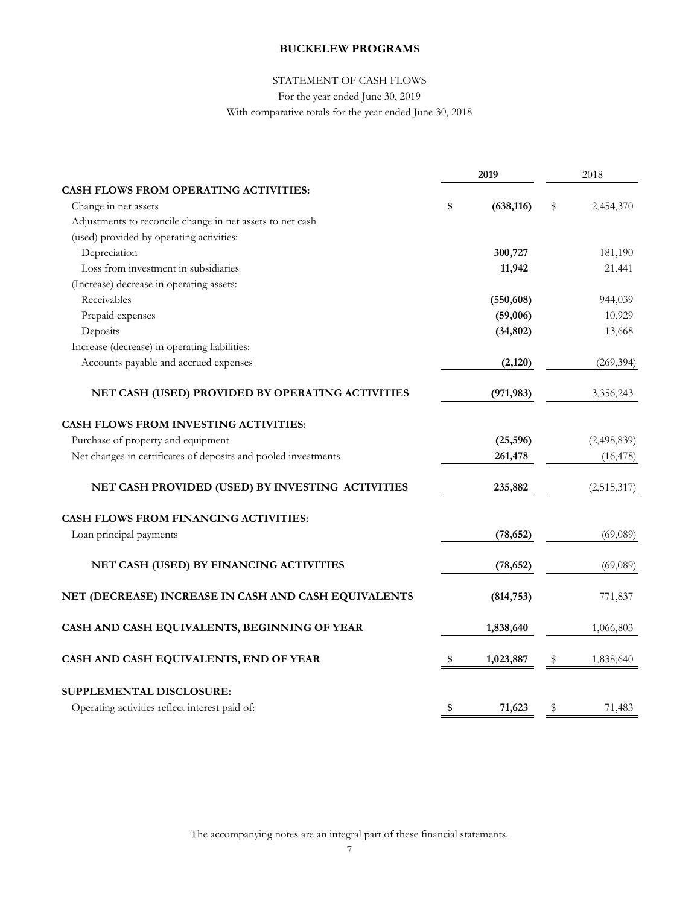## STATEMENT OF CASH FLOWS

For the year ended June 30, 2019

With comparative totals for the year ended June 30, 2018

|                                                                | 2019             |    | 2018        |
|----------------------------------------------------------------|------------------|----|-------------|
| <b>CASH FLOWS FROM OPERATING ACTIVITIES:</b>                   |                  |    |             |
| Change in net assets                                           | \$<br>(638, 116) | \$ | 2,454,370   |
| Adjustments to reconcile change in net assets to net cash      |                  |    |             |
| (used) provided by operating activities:                       |                  |    |             |
| Depreciation                                                   | 300,727          |    | 181,190     |
| Loss from investment in subsidiaries                           | 11,942           |    | 21,441      |
| (Increase) decrease in operating assets:                       |                  |    |             |
| Receivables                                                    | (550, 608)       |    | 944,039     |
| Prepaid expenses                                               | (59,006)         |    | 10,929      |
| Deposits                                                       | (34, 802)        |    | 13,668      |
| Increase (decrease) in operating liabilities:                  |                  |    |             |
| Accounts payable and accrued expenses                          | (2,120)          |    | (269, 394)  |
| NET CASH (USED) PROVIDED BY OPERATING ACTIVITIES               | (971, 983)       |    | 3,356,243   |
| CASH FLOWS FROM INVESTING ACTIVITIES:                          |                  |    |             |
| Purchase of property and equipment                             | (25, 596)        |    | (2,498,839) |
| Net changes in certificates of deposits and pooled investments | 261,478          |    | (16, 478)   |
| NET CASH PROVIDED (USED) BY INVESTING ACTIVITIES               | 235,882          |    | (2,515,317) |
| <b>CASH FLOWS FROM FINANCING ACTIVITIES:</b>                   |                  |    |             |
| Loan principal payments                                        | (78, 652)        |    | (69,089)    |
| NET CASH (USED) BY FINANCING ACTIVITIES                        | (78, 652)        |    | (69,089)    |
| NET (DECREASE) INCREASE IN CASH AND CASH EQUIVALENTS           | (814, 753)       |    | 771,837     |
| CASH AND CASH EQUIVALENTS, BEGINNING OF YEAR                   | 1,838,640        |    | 1,066,803   |
| CASH AND CASH EQUIVALENTS, END OF YEAR                         | \$<br>1,023,887  | Ş  | 1,838,640   |
| SUPPLEMENTAL DISCLOSURE:                                       |                  |    |             |
| Operating activities reflect interest paid of:                 | \$<br>71,623     | \$ | 71,483      |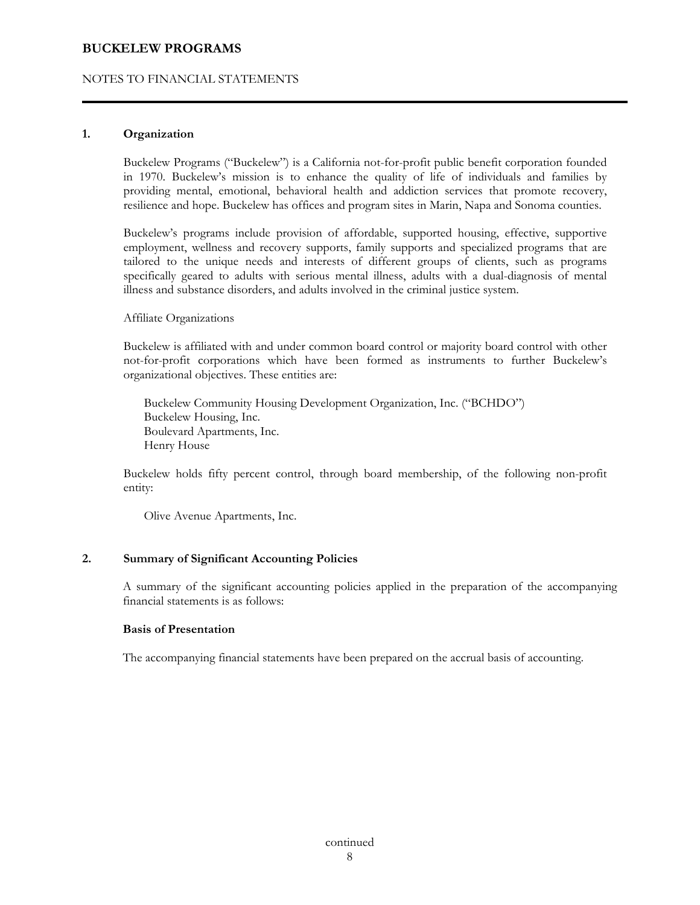## NOTES TO FINANCIAL STATEMENTS

## **1. Organization**

Buckelew Programs ("Buckelew") is a California not-for-profit public benefit corporation founded in 1970. Buckelew's mission is to enhance the quality of life of individuals and families by providing mental, emotional, behavioral health and addiction services that promote recovery, resilience and hope. Buckelew has offices and program sites in Marin, Napa and Sonoma counties.

Buckelew's programs include provision of affordable, supported housing, effective, supportive employment, wellness and recovery supports, family supports and specialized programs that are tailored to the unique needs and interests of different groups of clients, such as programs specifically geared to adults with serious mental illness, adults with a dual-diagnosis of mental illness and substance disorders, and adults involved in the criminal justice system.

Affiliate Organizations

Buckelew is affiliated with and under common board control or majority board control with other not-for-profit corporations which have been formed as instruments to further Buckelew's organizational objectives. These entities are:

Buckelew Community Housing Development Organization, Inc. ("BCHDO") Buckelew Housing, Inc. Boulevard Apartments, Inc. Henry House

Buckelew holds fifty percent control, through board membership, of the following non-profit entity:

Olive Avenue Apartments, Inc.

## **2. Summary of Significant Accounting Policies**

 A summary of the significant accounting policies applied in the preparation of the accompanying financial statements is as follows:

## **Basis of Presentation**

The accompanying financial statements have been prepared on the accrual basis of accounting.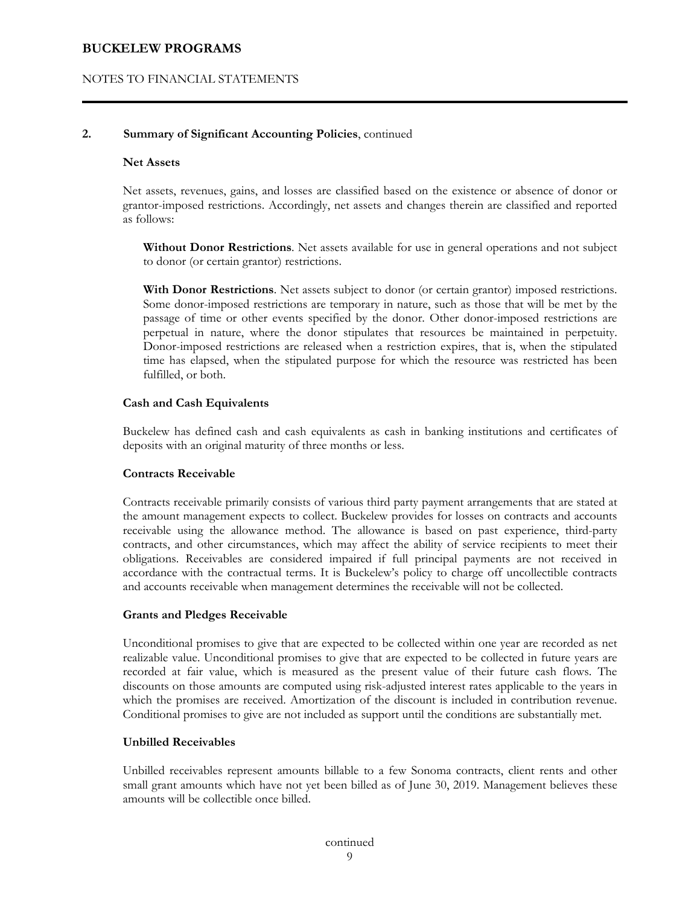## NOTES TO FINANCIAL STATEMENTS

#### **2. Summary of Significant Accounting Policies**, continued

#### **Net Assets**

 Net assets, revenues, gains, and losses are classified based on the existence or absence of donor or grantor-imposed restrictions. Accordingly, net assets and changes therein are classified and reported as follows:

**Without Donor Restrictions**. Net assets available for use in general operations and not subject to donor (or certain grantor) restrictions.

**With Donor Restrictions**. Net assets subject to donor (or certain grantor) imposed restrictions. Some donor-imposed restrictions are temporary in nature, such as those that will be met by the passage of time or other events specified by the donor. Other donor-imposed restrictions are perpetual in nature, where the donor stipulates that resources be maintained in perpetuity. Donor-imposed restrictions are released when a restriction expires, that is, when the stipulated time has elapsed, when the stipulated purpose for which the resource was restricted has been fulfilled, or both.

#### **Cash and Cash Equivalents**

 Buckelew has defined cash and cash equivalents as cash in banking institutions and certificates of deposits with an original maturity of three months or less.

#### **Contracts Receivable**

 Contracts receivable primarily consists of various third party payment arrangements that are stated at the amount management expects to collect. Buckelew provides for losses on contracts and accounts receivable using the allowance method. The allowance is based on past experience, third-party contracts, and other circumstances, which may affect the ability of service recipients to meet their obligations. Receivables are considered impaired if full principal payments are not received in accordance with the contractual terms. It is Buckelew's policy to charge off uncollectible contracts and accounts receivable when management determines the receivable will not be collected.

#### **Grants and Pledges Receivable**

 Unconditional promises to give that are expected to be collected within one year are recorded as net realizable value. Unconditional promises to give that are expected to be collected in future years are recorded at fair value, which is measured as the present value of their future cash flows. The discounts on those amounts are computed using risk-adjusted interest rates applicable to the years in which the promises are received. Amortization of the discount is included in contribution revenue. Conditional promises to give are not included as support until the conditions are substantially met.

#### **Unbilled Receivables**

Unbilled receivables represent amounts billable to a few Sonoma contracts, client rents and other small grant amounts which have not yet been billed as of June 30, 2019. Management believes these amounts will be collectible once billed.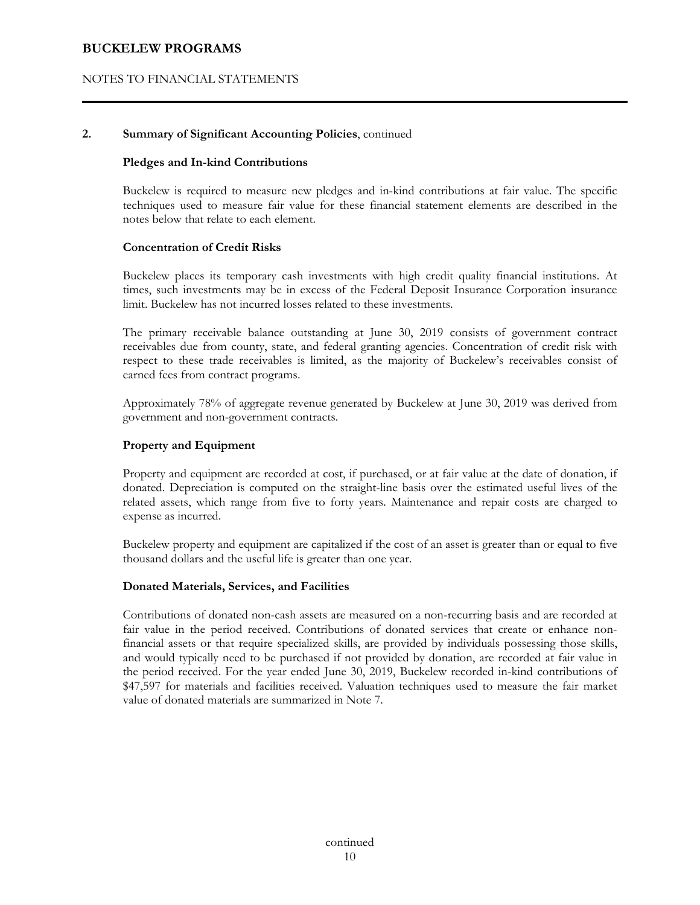## NOTES TO FINANCIAL STATEMENTS

## **2. Summary of Significant Accounting Policies**, continued

#### **Pledges and In-kind Contributions**

 Buckelew is required to measure new pledges and in-kind contributions at fair value. The specific techniques used to measure fair value for these financial statement elements are described in the notes below that relate to each element.

#### **Concentration of Credit Risks**

 Buckelew places its temporary cash investments with high credit quality financial institutions. At times, such investments may be in excess of the Federal Deposit Insurance Corporation insurance limit. Buckelew has not incurred losses related to these investments.

 The primary receivable balance outstanding at June 30, 2019 consists of government contract receivables due from county, state, and federal granting agencies. Concentration of credit risk with respect to these trade receivables is limited, as the majority of Buckelew's receivables consist of earned fees from contract programs.

Approximately 78% of aggregate revenue generated by Buckelew at June 30, 2019 was derived from government and non-government contracts.

#### **Property and Equipment**

 Property and equipment are recorded at cost, if purchased, or at fair value at the date of donation, if donated. Depreciation is computed on the straight-line basis over the estimated useful lives of the related assets, which range from five to forty years. Maintenance and repair costs are charged to expense as incurred.

 Buckelew property and equipment are capitalized if the cost of an asset is greater than or equal to five thousand dollars and the useful life is greater than one year.

#### **Donated Materials, Services, and Facilities**

 Contributions of donated non-cash assets are measured on a non-recurring basis and are recorded at fair value in the period received. Contributions of donated services that create or enhance nonfinancial assets or that require specialized skills, are provided by individuals possessing those skills, and would typically need to be purchased if not provided by donation, are recorded at fair value in the period received. For the year ended June 30, 2019, Buckelew recorded in-kind contributions of \$47,597 for materials and facilities received. Valuation techniques used to measure the fair market value of donated materials are summarized in Note 7.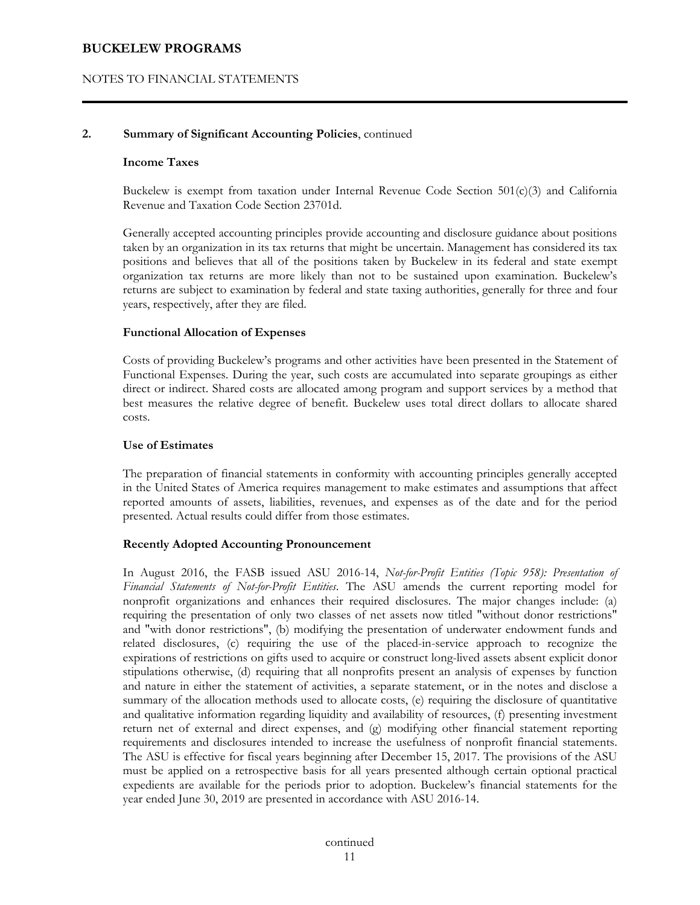## NOTES TO FINANCIAL STATEMENTS

#### **2. Summary of Significant Accounting Policies**, continued

#### **Income Taxes**

Buckelew is exempt from taxation under Internal Revenue Code Section  $501(c)(3)$  and California Revenue and Taxation Code Section 23701d.

Generally accepted accounting principles provide accounting and disclosure guidance about positions taken by an organization in its tax returns that might be uncertain. Management has considered its tax positions and believes that all of the positions taken by Buckelew in its federal and state exempt organization tax returns are more likely than not to be sustained upon examination. Buckelew's returns are subject to examination by federal and state taxing authorities, generally for three and four years, respectively, after they are filed.

#### **Functional Allocation of Expenses**

 Costs of providing Buckelew's programs and other activities have been presented in the Statement of Functional Expenses. During the year, such costs are accumulated into separate groupings as either direct or indirect. Shared costs are allocated among program and support services by a method that best measures the relative degree of benefit. Buckelew uses total direct dollars to allocate shared costs.

#### **Use of Estimates**

 The preparation of financial statements in conformity with accounting principles generally accepted in the United States of America requires management to make estimates and assumptions that affect reported amounts of assets, liabilities, revenues, and expenses as of the date and for the period presented. Actual results could differ from those estimates.

#### **Recently Adopted Accounting Pronouncement**

 In August 2016, the FASB issued ASU 2016-14, *Not-for-Profit Entities (Topic 958): Presentation of Financial Statements of Not-for-Profit Entities*. The ASU amends the current reporting model for nonprofit organizations and enhances their required disclosures. The major changes include: (a) requiring the presentation of only two classes of net assets now titled "without donor restrictions" and "with donor restrictions", (b) modifying the presentation of underwater endowment funds and related disclosures, (c) requiring the use of the placed-in-service approach to recognize the expirations of restrictions on gifts used to acquire or construct long-lived assets absent explicit donor stipulations otherwise, (d) requiring that all nonprofits present an analysis of expenses by function and nature in either the statement of activities, a separate statement, or in the notes and disclose a summary of the allocation methods used to allocate costs, (e) requiring the disclosure of quantitative and qualitative information regarding liquidity and availability of resources, (f) presenting investment return net of external and direct expenses, and (g) modifying other financial statement reporting requirements and disclosures intended to increase the usefulness of nonprofit financial statements. The ASU is effective for fiscal years beginning after December 15, 2017. The provisions of the ASU must be applied on a retrospective basis for all years presented although certain optional practical expedients are available for the periods prior to adoption. Buckelew's financial statements for the year ended June 30, 2019 are presented in accordance with ASU 2016-14.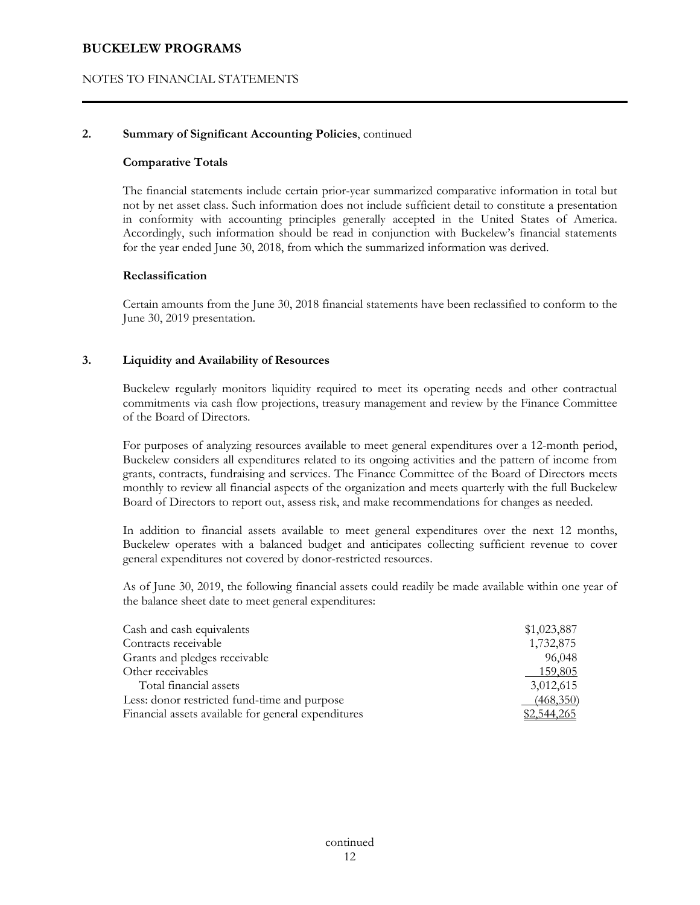## NOTES TO FINANCIAL STATEMENTS

#### **2. Summary of Significant Accounting Policies**, continued

#### **Comparative Totals**

 The financial statements include certain prior-year summarized comparative information in total but not by net asset class. Such information does not include sufficient detail to constitute a presentation in conformity with accounting principles generally accepted in the United States of America. Accordingly, such information should be read in conjunction with Buckelew's financial statements for the year ended June 30, 2018, from which the summarized information was derived.

#### **Reclassification**

 Certain amounts from the June 30, 2018 financial statements have been reclassified to conform to the June 30, 2019 presentation.

#### **3. Liquidity and Availability of Resources**

Buckelew regularly monitors liquidity required to meet its operating needs and other contractual commitments via cash flow projections, treasury management and review by the Finance Committee of the Board of Directors.

For purposes of analyzing resources available to meet general expenditures over a 12-month period, Buckelew considers all expenditures related to its ongoing activities and the pattern of income from grants, contracts, fundraising and services. The Finance Committee of the Board of Directors meets monthly to review all financial aspects of the organization and meets quarterly with the full Buckelew Board of Directors to report out, assess risk, and make recommendations for changes as needed.

In addition to financial assets available to meet general expenditures over the next 12 months, Buckelew operates with a balanced budget and anticipates collecting sufficient revenue to cover general expenditures not covered by donor-restricted resources.

As of June 30, 2019, the following financial assets could readily be made available within one year of the balance sheet date to meet general expenditures:

| Cash and cash equivalents                           | \$1,023,887 |
|-----------------------------------------------------|-------------|
| Contracts receivable                                | 1,732,875   |
| Grants and pledges receivable                       | 96,048      |
| Other receivables                                   | 159,805     |
| Total financial assets                              | 3,012,615   |
| Less: donor restricted fund-time and purpose        | (468,350)   |
| Financial assets available for general expenditures | 1,544,265   |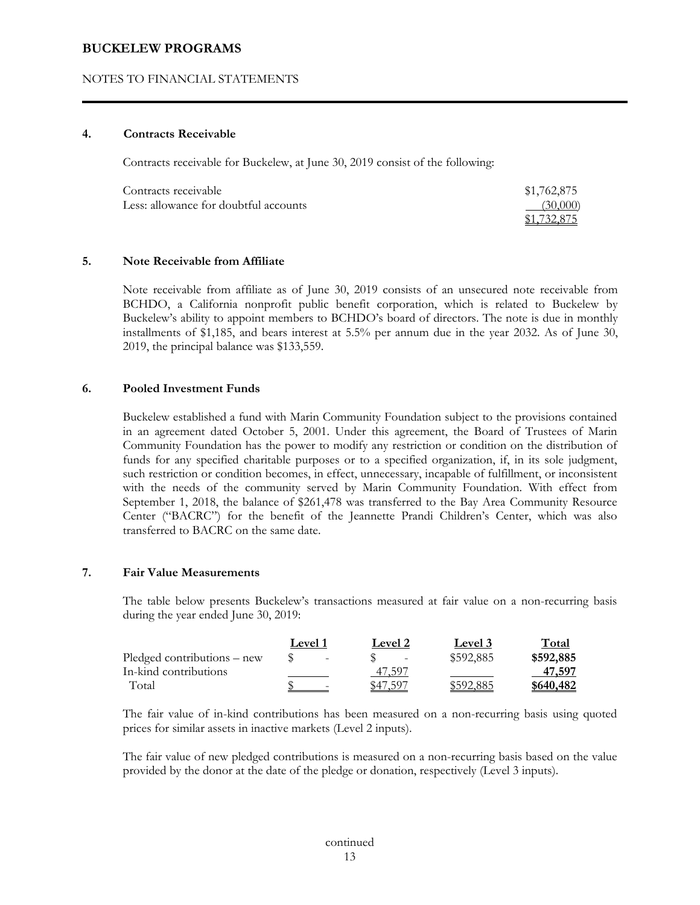## NOTES TO FINANCIAL STATEMENTS

#### **4. Contracts Receivable**

Contracts receivable for Buckelew, at June 30, 2019 consist of the following:

| Contracts receivable                  | \$1,762,875 |
|---------------------------------------|-------------|
| Less: allowance for doubtful accounts | (30,000)    |
|                                       | \$1,732,875 |

#### **5. Note Receivable from Affiliate**

 Note receivable from affiliate as of June 30, 2019 consists of an unsecured note receivable from BCHDO, a California nonprofit public benefit corporation, which is related to Buckelew by Buckelew's ability to appoint members to BCHDO's board of directors. The note is due in monthly installments of \$1,185, and bears interest at 5.5% per annum due in the year 2032. As of June 30, 2019, the principal balance was \$133,559.

#### **6. Pooled Investment Funds**

 Buckelew established a fund with Marin Community Foundation subject to the provisions contained in an agreement dated October 5, 2001. Under this agreement, the Board of Trustees of Marin Community Foundation has the power to modify any restriction or condition on the distribution of funds for any specified charitable purposes or to a specified organization, if, in its sole judgment, such restriction or condition becomes, in effect, unnecessary, incapable of fulfillment, or inconsistent with the needs of the community served by Marin Community Foundation. With effect from September 1, 2018, the balance of \$261,478 was transferred to the Bay Area Community Resource Center ("BACRC") for the benefit of the Jeannette Prandi Children's Center, which was also transferred to BACRC on the same date.

## **7. Fair Value Measurements**

 The table below presents Buckelew's transactions measured at fair value on a non-recurring basis during the year ended June 30, 2019:

|                             | <b>Level</b> 1 |                          |          | <b>Level 2</b>    | <b>Level</b> 3 | Total     |
|-----------------------------|----------------|--------------------------|----------|-------------------|----------------|-----------|
| Pledged contributions – new |                | $\overline{\phantom{0}}$ |          | $\qquad \qquad -$ | \$592,885      | \$592,885 |
| In-kind contributions       |                |                          |          | 47,597            |                | 47,597    |
| Total                       |                |                          | \$47.597 |                   | \$592.885      | \$640,482 |

 The fair value of in-kind contributions has been measured on a non-recurring basis using quoted prices for similar assets in inactive markets (Level 2 inputs).

 The fair value of new pledged contributions is measured on a non-recurring basis based on the value provided by the donor at the date of the pledge or donation, respectively (Level 3 inputs).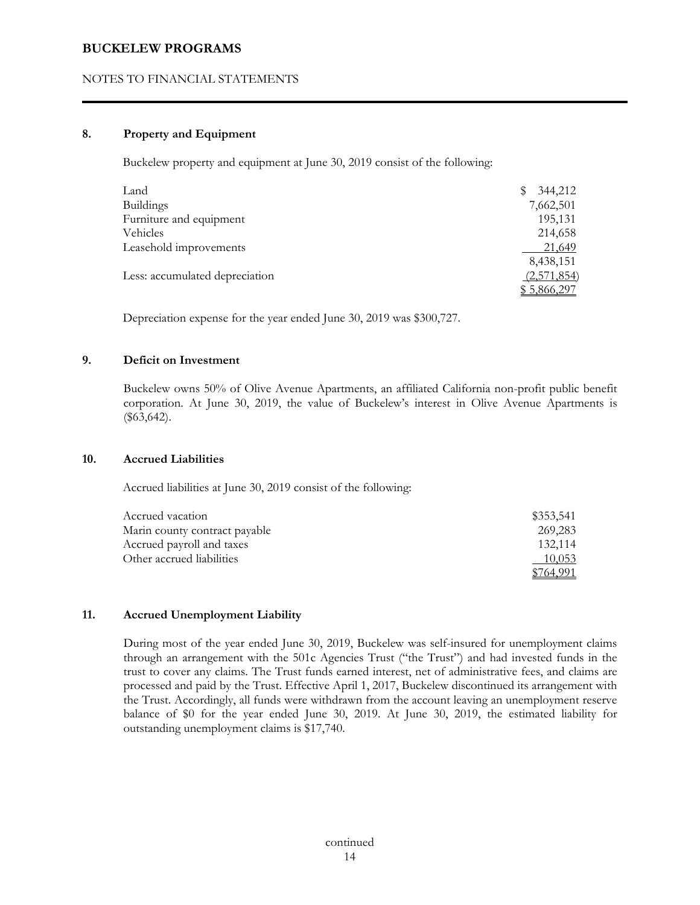## NOTES TO FINANCIAL STATEMENTS

## **8. Property and Equipment**

Buckelew property and equipment at June 30, 2019 consist of the following:

| Land                           | 344,212     |
|--------------------------------|-------------|
| <b>Buildings</b>               | 7,662,501   |
| Furniture and equipment        | 195,131     |
| Vehicles                       | 214,658     |
| Leasehold improvements         | 21,649      |
|                                | 8,438,151   |
| Less: accumulated depreciation | (2,571,854) |
|                                | \$5,866,297 |

Depreciation expense for the year ended June 30, 2019 was \$300,727.

## **9. Deficit on Investment**

 Buckelew owns 50% of Olive Avenue Apartments, an affiliated California non-profit public benefit corporation. At June 30, 2019, the value of Buckelew's interest in Olive Avenue Apartments is (\$63,642).

#### **10. Accrued Liabilities**

Accrued liabilities at June 30, 2019 consist of the following:

| Accrued vacation              | \$353,541 |
|-------------------------------|-----------|
| Marin county contract payable | 269,283   |
| Accrued payroll and taxes     | 132.114   |
| Other accrued liabilities     | 10,053    |
|                               |           |

#### **11. Accrued Unemployment Liability**

 During most of the year ended June 30, 2019, Buckelew was self-insured for unemployment claims through an arrangement with the 501c Agencies Trust ("the Trust") and had invested funds in the trust to cover any claims. The Trust funds earned interest, net of administrative fees, and claims are processed and paid by the Trust. Effective April 1, 2017, Buckelew discontinued its arrangement with the Trust. Accordingly, all funds were withdrawn from the account leaving an unemployment reserve balance of \$0 for the year ended June 30, 2019. At June 30, 2019, the estimated liability for outstanding unemployment claims is \$17,740.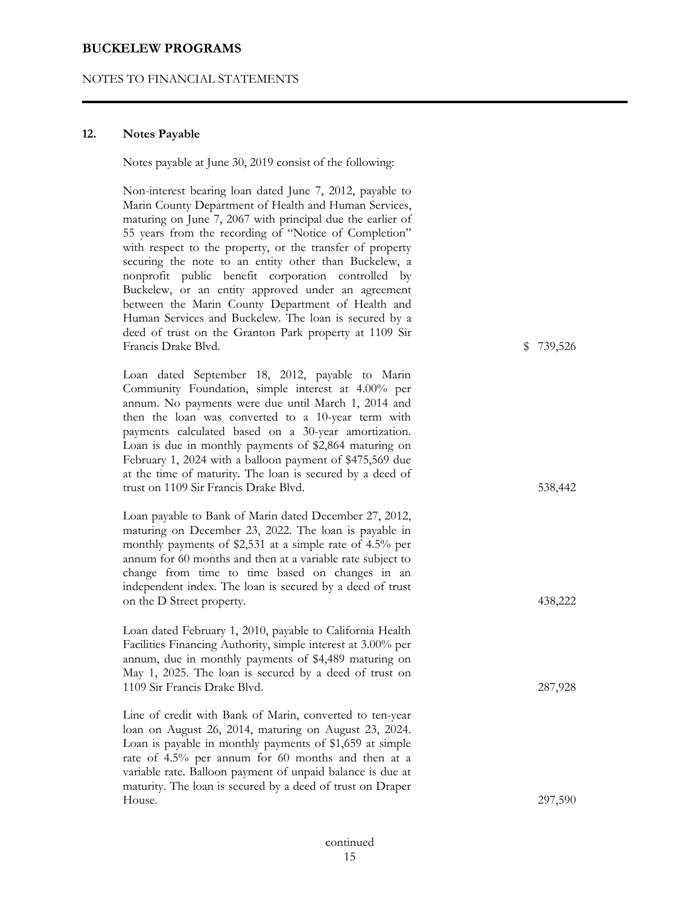#### NOTES TO FINANCIAL STATEMENTS

#### **12. Notes Payable**

Notes payable at June 30, 2019 consist of the following:

Non-interest bearing loan dated June 7, 2012, payable to Marin County Department of Health and Human Services, maturing on June 7, 2067 with principal due the earlier of 55 years from the recording of "Notice of Completion" with respect to the property, or the transfer of property securing the note to an entity other than Buckelew, a nonprofit public benefit corporation controlled by Buckelew, or an entity approved under an agreement between the Marin County Department of Health and Human Services and Buckelew. The loan is secured by a deed of trust on the Granton Park property at 1109 Sir Francis Drake Blvd. **\$0,739,526** \$0,739,526

Loan dated September 18, 2012, payable to Marin Community Foundation, simple interest at 4.00% per annum. No payments were due until March 1, 2014 and then the loan was converted to a 10-year term with payments calculated based on a 30-year amortization. Loan is due in monthly payments of \$2,864 maturing on February 1, 2024 with a balloon payment of \$475,569 due at the time of maturity. The loan is secured by a deed of trust on 1109 Sir Francis Drake Blvd. 538,442

Loan payable to Bank of Marin dated December 27, 2012, maturing on December 23, 2022. The loan is payable in monthly payments of \$2,531 at a simple rate of 4.5% per annum for 60 months and then at a variable rate subject to change from time to time based on changes in an independent index. The loan is secured by a deed of trust on the D Street property. 438,222

 Loan dated February 1, 2010, payable to California Health Facilities Financing Authority, simple interest at 3.00% per annum, due in monthly payments of \$4,489 maturing on May 1, 2025. The loan is secured by a deed of trust on 1109 Sir Francis Drake Blvd. 287,928

 Line of credit with Bank of Marin, converted to ten-year loan on August 26, 2014, maturing on August 23, 2024. Loan is payable in monthly payments of \$1,659 at simple rate of 4.5% per annum for 60 months and then at a variable rate. Balloon payment of unpaid balance is due at maturity. The loan is secured by a deed of trust on Draper House. 297,590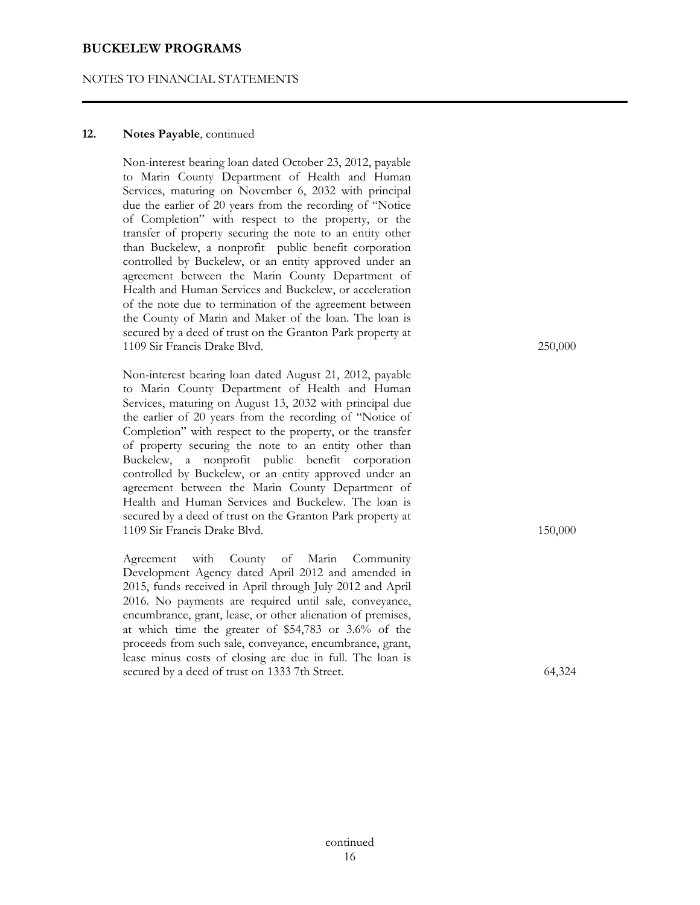#### NOTES TO FINANCIAL STATEMENTS

#### **12. Notes Payable**, continued

 Non-interest bearing loan dated October 23, 2012, payable to Marin County Department of Health and Human Services, maturing on November 6, 2032 with principal due the earlier of 20 years from the recording of "Notice of Completion" with respect to the property, or the transfer of property securing the note to an entity other than Buckelew, a nonprofit public benefit corporation controlled by Buckelew, or an entity approved under an agreement between the Marin County Department of Health and Human Services and Buckelew, or acceleration of the note due to termination of the agreement between the County of Marin and Maker of the loan. The loan is secured by a deed of trust on the Granton Park property at 1109 Sir Francis Drake Blvd. 250,000

 Non-interest bearing loan dated August 21, 2012, payable to Marin County Department of Health and Human Services, maturing on August 13, 2032 with principal due the earlier of 20 years from the recording of "Notice of Completion" with respect to the property, or the transfer of property securing the note to an entity other than Buckelew, a nonprofit public benefit corporation controlled by Buckelew, or an entity approved under an agreement between the Marin County Department of Health and Human Services and Buckelew. The loan is secured by a deed of trust on the Granton Park property at 1109 Sir Francis Drake Blvd. 150,000

 Agreement with County of Marin Community Development Agency dated April 2012 and amended in 2015, funds received in April through July 2012 and April 2016. No payments are required until sale, conveyance, encumbrance, grant, lease, or other alienation of premises, at which time the greater of \$54,783 or 3.6% of the proceeds from such sale, conveyance, encumbrance, grant, lease minus costs of closing are due in full. The loan is secured by a deed of trust on 1333 7th Street. 64,324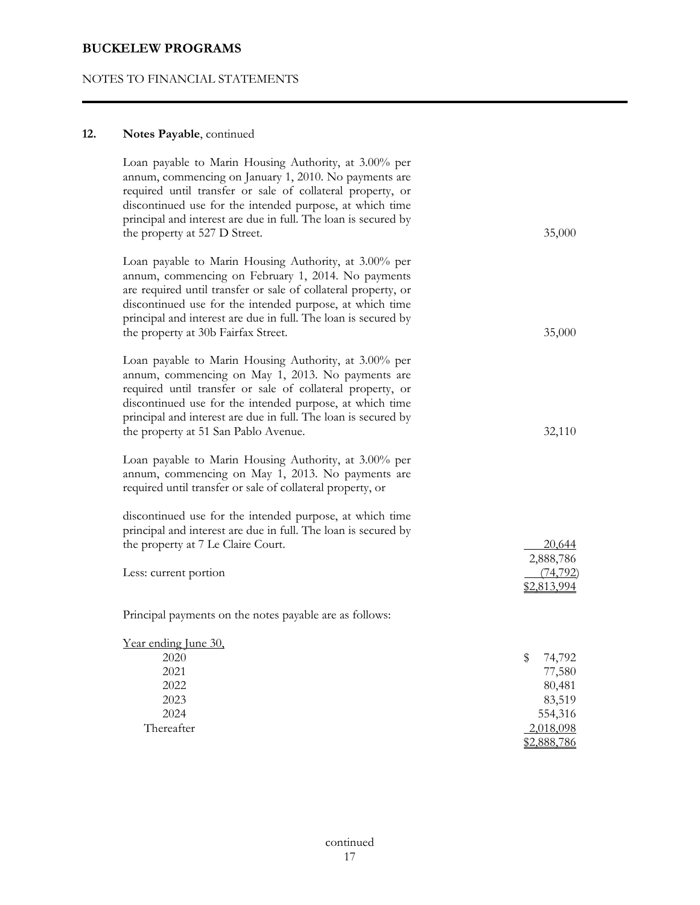# NOTES TO FINANCIAL STATEMENTS

# **12. Notes Payable**, continued

| Loan payable to Marin Housing Authority, at 3.00% per<br>annum, commencing on January 1, 2010. No payments are<br>required until transfer or sale of collateral property, or<br>discontinued use for the intended purpose, at which time<br>principal and interest are due in full. The loan is secured by<br>the property at 527 D Street.        | 35,000                                                             |
|----------------------------------------------------------------------------------------------------------------------------------------------------------------------------------------------------------------------------------------------------------------------------------------------------------------------------------------------------|--------------------------------------------------------------------|
| Loan payable to Marin Housing Authority, at 3.00% per<br>annum, commencing on February 1, 2014. No payments<br>are required until transfer or sale of collateral property, or<br>discontinued use for the intended purpose, at which time<br>principal and interest are due in full. The loan is secured by<br>the property at 30b Fairfax Street. | 35,000                                                             |
| Loan payable to Marin Housing Authority, at 3.00% per<br>annum, commencing on May 1, 2013. No payments are<br>required until transfer or sale of collateral property, or<br>discontinued use for the intended purpose, at which time<br>principal and interest are due in full. The loan is secured by<br>the property at 51 San Pablo Avenue.     | 32,110                                                             |
| Loan payable to Marin Housing Authority, at 3.00% per<br>annum, commencing on May 1, 2013. No payments are<br>required until transfer or sale of collateral property, or                                                                                                                                                                           |                                                                    |
| discontinued use for the intended purpose, at which time<br>principal and interest are due in full. The loan is secured by<br>the property at 7 Le Claire Court.<br>Less: current portion                                                                                                                                                          | 20,644<br>2,888,786<br>(74, 792)<br>\$2,813,994                    |
| Principal payments on the notes payable are as follows:                                                                                                                                                                                                                                                                                            |                                                                    |
| Year ending June 30,<br>2020<br>2021<br>2022<br>2023<br>2024<br>Thereafter                                                                                                                                                                                                                                                                         | \$<br>74,792<br>77,580<br>80,481<br>83,519<br>554,316<br>2,018,098 |
|                                                                                                                                                                                                                                                                                                                                                    | \$2,888,786                                                        |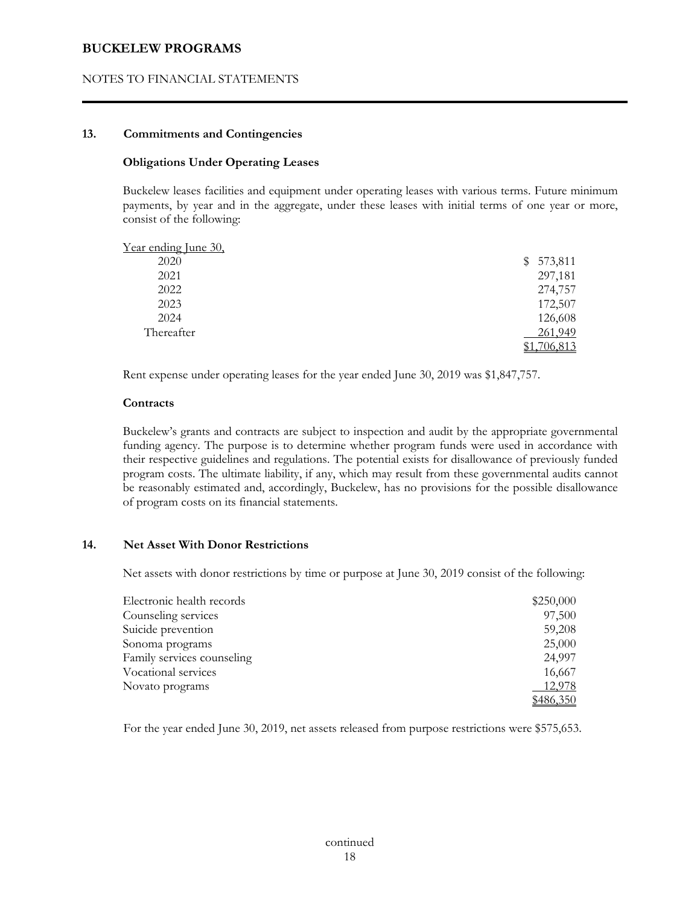#### NOTES TO FINANCIAL STATEMENTS

## **13. Commitments and Contingencies**

#### **Obligations Under Operating Leases**

 Buckelew leases facilities and equipment under operating leases with various terms. Future minimum payments, by year and in the aggregate, under these leases with initial terms of one year or more, consist of the following:

| Year ending June 30, |           |
|----------------------|-----------|
| 2020                 | \$573,811 |
| 2021                 | 297,181   |
| 2022                 | 274,757   |
| 2023                 | 172,507   |
| 2024                 | 126,608   |
| Thereafter           | 261,949   |
|                      | 706,813   |

Rent expense under operating leases for the year ended June 30, 2019 was \$1,847,757.

#### **Contracts**

 Buckelew's grants and contracts are subject to inspection and audit by the appropriate governmental funding agency. The purpose is to determine whether program funds were used in accordance with their respective guidelines and regulations. The potential exists for disallowance of previously funded program costs. The ultimate liability, if any, which may result from these governmental audits cannot be reasonably estimated and, accordingly, Buckelew, has no provisions for the possible disallowance of program costs on its financial statements.

#### **14. Net Asset With Donor Restrictions**

Net assets with donor restrictions by time or purpose at June 30, 2019 consist of the following:

| Electronic health records  | \$250,000 |
|----------------------------|-----------|
| Counseling services        | 97,500    |
| Suicide prevention         | 59,208    |
| Sonoma programs            | 25,000    |
| Family services counseling | 24,997    |
| Vocational services        | 16,667    |
| Novato programs            | 12,978    |
|                            | \$486,350 |

For the year ended June 30, 2019, net assets released from purpose restrictions were \$575,653.